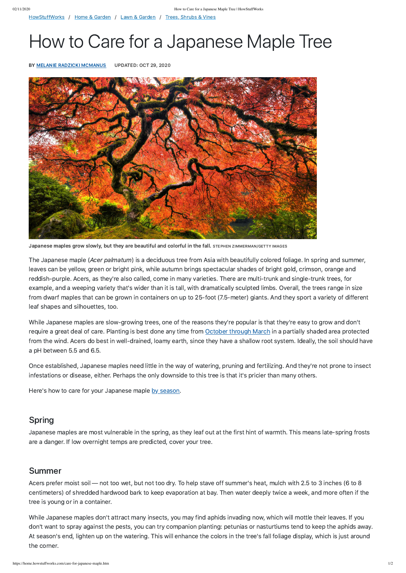[HowStuffWorks](https://www.howstuffworks.com/) / Home & [Garden](https://home.howstuffworks.com/) / Lawn & [Garden](https://home.howstuffworks.com/lawn-and-garden.htm) / Trees, [Shrubs](https://home.howstuffworks.com/trees-shrubs-and-vines.htm) & Vines

# How to Care for a Japanese Maple Tree

BY MELANIE RADZICKI [MCMANUS](https://www.howstuffworks.com/about-melanie-mcmanus.htm) UPDATED: OCT 29, 2020



Japanese maples grow slowly, but they are beautiful and colorful in the fall. STEPHEN ZIMMERMAN/GETTY IMAGES

The Japanese maple (Acer palmatum) is a deciduous tree from Asia with beautifully colored foliage. In spring and summer, leaves can be yellow, green or bright pink, while autumn brings spectacular shades of bright gold, crimson, orange and reddish-purple. Acers, as they're also called, come in many varieties. There are multi-trunk and single-trunk trees, for example, and a weeping variety that's wider than it is tall, with dramatically sculpted limbs. Overall, the trees range in size from dwarf maples that can be grown in containers on up to 25-foot (7.5-meter) giants. And they sport a variety of different leaf shapes and silhouettes, too.

While Japanese maples are slow-growing trees, one of the reasons they're popular is that they're easy to grow and don't require a great deal of care. Planting is best done any time from [October](https://www.rhs.org.uk/plants/popular/acer/japanese-maples/growing-guide) through March in a partially shaded area protected from the wind. Acers do best in well-drained, loamy earth, since they have a shallow root system. Ideally, the soil should have a pH between 5.5 and 6.5.

Once established, Japanese maples need little in the way of watering, pruning and fertilizing. And they're not prone to insect infestations or disease, either. Perhaps the only downside to this tree is that it's pricier than many others.

Here's how to care for your Japanese maple by [season.](http://www.japanesemaples.com/information/care.php)

# Spring

Japanese maples are most vulnerable in the spring, as they leaf out at the first hint of warmth. This means late-spring frosts are a danger. If low overnight temps are predicted, cover your tree.

## Summer

Acers prefer moist soil — not too wet, but not too dry. To help stave off summer's heat, mulch with 2.5 to 3 inches (6 to 8 centimeters) of shredded hardwood bark to keep evaporation at bay. Then water deeply twice a week, and more often if the tree is young or in a container.

While Japanese maples don't attract many insects, you may find aphids invading now, which will mottle their leaves. If you don't want to spray against the pests, you can try companion planting: petunias or nasturtiums tend to keep the aphids away. At season's end, lighten up on the watering. This will enhance the colors in the tree's fall foliage display, which is just around the corner.